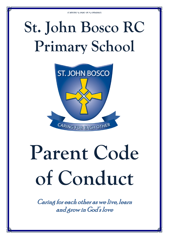## **St. John Bosco RC Primary School**



# **Parent Code of Conduct**

Caring for each other as we live, learn and grow in God's love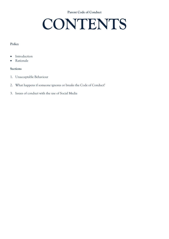### **CONTENTS**

#### **Policy**

- Introduction
- Rationale

#### **Sections**

- 1. Unacceptable Behaviour
- 2. What happens if someone ignores or breaks the Code of Conduct?
- 3. Issues of conduct with the use of Social Media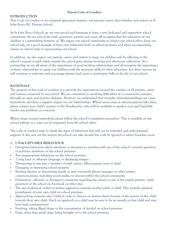#### **INTRODUCTION**

This Code of Conduct is an unsigned agreement between our parents/carers, their families and visitors at St John Bosco RC Primary School.

At St John Bosco School, we are very proud and fortunate to have a very dedicated and supportive school community. At our school the staff, governors, parents and carers all recognise that the education of our children is a partnership between us. We expect our school community to respect our school ethos, keep our school tidy, set a good example of their own behaviour both on school premises and when accompanying classes on school visits or representing our school.

In addition, we also expect our parents, carers and visitors to keep our children safe by adhering to the school's request to park safely outside the school gates during morning and afternoon collections. As a partnership we are all aware of the importance of good working relationships and all recognise the importance of these relationships to equip our children with the necessary skills for their education. For these reasons we will continue to welcome and encourage parents and carers to participate fully in the life of our school.

#### **RATIONALE**

The purpose of this code of conduct is to provide the expectations around the conduct of all parents, carers and visitors connected to our school. We are committed to resolving difficulties in a constructive manner, through an open and positive dialogue. However, we understand that everyday misunderstandings can cause frustrations and have a negative impact on our relationships. Where issues arise or misconceptions take place, please contact your child's teacher or the Headteacher, who will be available to speak to you and hopefully resolve any problems or concerns.

Where issues remain unresolved, please follow the school's complaints procedure. This is available on the school website or a copy can be requested from the school office.

The code of conduct aims to clarify the types of behaviour that will not be tolerated and seeks parental support. It also sets out the actions the school can take should this code be ignored or where breaches occur.

#### **1. UNACCEPTABLE BEHAVIOUR**

- Disruptive behaviour which interferes or threatens to interfere with any of the school's normal operation or activities anywhere on the school premises
- Any inappropriate behaviour on the school premises
- Using loud or offensive language or displaying temper
- Threatening in any way, a member of staff, visitor, fellow parent/carer or child
- Damaging or destroying school property
- Sending abusive or threatening emails or text/voicemail/phone messages or other written communications, including social media, to anyone within the school community
- Defamatory, offensive or derogatory comments regarding the school or any of the pupils/parents /staff/ governors at the school on Facebook or other sites
- The use of physical, verbal or written aggression towards another adult or child. This includes physical punishment of your own child on school premises
- Approaching someone else's child in order to discuss or chastise them because of the actions of this child towards their own child. (Such an approach to a child may be seen to be an assault on that child and may have legal consequences)
- Smoking, taking illegal drugs or the consumption of alcohol on school premises
- Dogs, other than guide dogs, being brought on to the school premises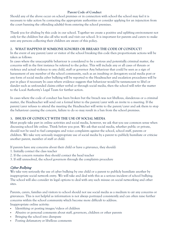Should any of the above occur on school premises or in connection with school the school may feel it is necessary to take action by contacting the appropriate authorities or consider applying for an injunction from the court banning the offending adult(s) from entering the school premises.

Thank you for abiding by this code in our school. Together we create a positive and uplifting environment not only for the children but also all who work and visit our school. It is important for parents and carers to make sure any persons collecting their children are aware of this policy.

#### **2. WHAT HAPPENS IF SOMEONE IGNORES OR BREAKS THE CODE OF CONDUCT?**

In the event of any parent/carer or visitor of the school breaking this code then proportionate actions will be taken as follows:

In cases where the unacceptable behaviour is considered to be a serious and potentially criminal matter, the concerns will in the first instance be referred to the police. This will include any or all cases of threats or violence and actual violence to any child, staff or governor Any behaviour that could be seen as a sign of harassment of any member of the school community, such as an insulting or derogatory social media post or any form of social media cyber bullying will be reported to the Headteacher and escalation procedures will be put in place if necessary In cases where evidence suggests that behaviour would be tantamount to libel or slander such as unfounded claims either verbal or through social media, then the school will refer the matter to the Local Authority's Legal Team for further action.

In cases where the code of conduct has been broken but the breach was not libellous, slanderous or a criminal matter, the Headteacher will send out a formal letter to the parent/carer with an invite to a meeting. If the parent/carer refuses to attend the meeting the Headteacher will write to the parent/carer and ask them to stop the behaviour causing the concern, failure to do so may result in a ban from the school premises.

#### **3. ISSUES OF CONDUCT WITH THE USE OF SOCIAL MEDIA**

Most people take part in online activities and social media, however, we ask that you use common sense when discussing school life online. Think before you post. We ask that social media, whether public or private, should not be used to fuel campaigns and voice complaints against the school, school staff, parents or children. We take very seriously inappropriate use of social media by a parent to publicly humiliate or criticise another parent, member of staff or child.

If parents have any concerns about their child or have a grievance, they should:

- 1. Initially contact the class teacher
- 2. If the concern remains they should contact the head teacher
- 3. If still unresolved, the school governors through the complaints procedure

#### Cyber Bullying

We take very seriously the use of cyber bullying by one child or a parent to publicly humiliate another by inappropriate social network entry. We will take and deal with this as a serious incident of school bullying. The school will also consider its legal options to deal with any such misuse on social networking and other sites.

Parents, carers, families and visitors to school should not use social media as a medium to air any concerns or grievances. This is not helpful as information is not always portrayed consistently and can often raise further concerns within the school community which become more difficult to address. Inappropriate online activity:

- Identifying or posting images/videos of children
- Abusive or personal comments about staff, governors, children or other parents
- Bringing the school into disrepute
- Posting defamatory or libellous comments